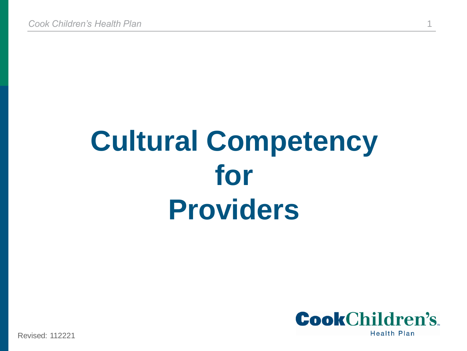# **Cultural Competency for Providers**



Revised: 112221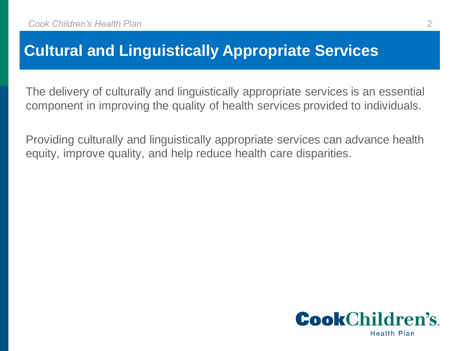#### **Cultural and Linguistically Appropriate Services**

The delivery of culturally and linguistically appropriate services is an essential component in improving the quality of health services provided to individuals.

Providing culturally and linguistically appropriate services can advance health equity, improve quality, and help reduce health care disparities.

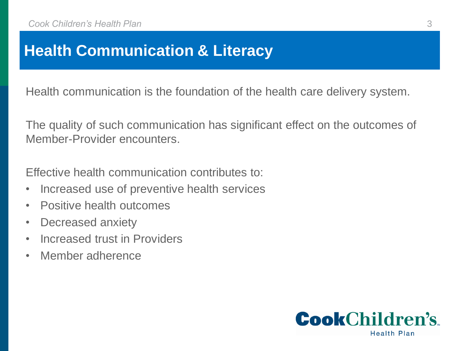### **Health Communication & Literacy**

Health communication is the foundation of the health care delivery system.

The quality of such communication has significant effect on the outcomes of Member-Provider encounters.

Effective health communication contributes to:

- Increased use of preventive health services
- Positive health outcomes
- Decreased anxiety
- Increased trust in Providers
- Member adherence

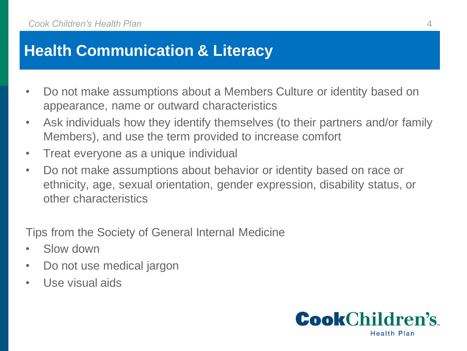#### **Health Communication & Literacy**

- Do not make assumptions about a Members Culture or identity based on appearance, name or outward characteristics
- Ask individuals how they identify themselves (to their partners and/or family Members), and use the term provided to increase comfort
- Treat everyone as a unique individual
- Do not make assumptions about behavior or identity based on race or ethnicity, age, sexual orientation, gender expression, disability status, or other characteristics

Tips from the Society of General Internal Medicine

- Slow down
- Do not use medical jargon
- Use visual aids

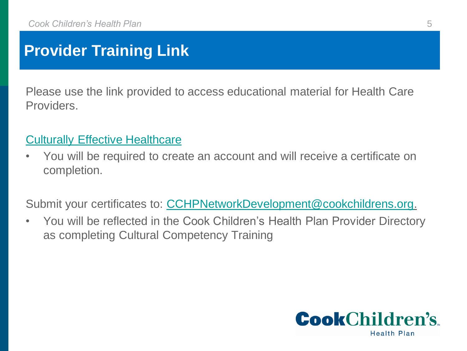## **Provider Training Link**

Please use the link provided to access educational material for Health Care Providers.

#### [Culturally Effective Healthcare](https://www.txhealthsteps.com/134-culturally-effective-health-care)

• You will be required to create an account and will receive a certificate on completion.

Submit your certificates to: [CCHPNetworkDevelopment@cookchildrens.org](mailto:CCHPnetworkdevelopment@cookchildrens.org).

• You will be reflected in the Cook Children's Health Plan Provider Directory as completing Cultural Competency Training